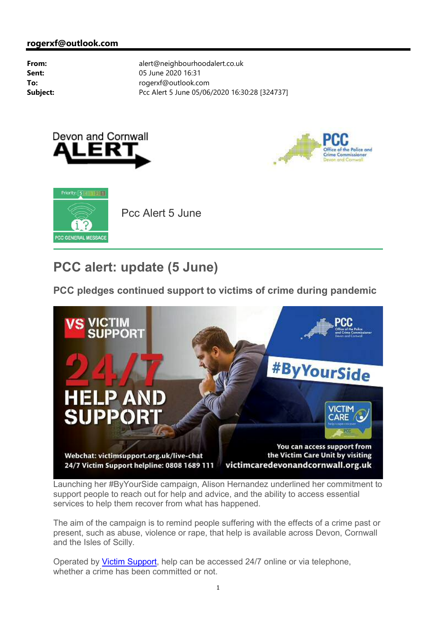





# **PCC alert: update (5 June)**

**PCC pledges continued support to victims of crime during pandemic** 



Launching her #ByYourSide campaign, Alison Hernandez underlined her commitment to support people to reach out for help and advice, and the ability to access essential services to help them recover from what has happened.

The aim of the campaign is to remind people suffering with the effects of a crime past or present, such as abuse, violence or rape, that help is available across Devon, Cornwall and the Isles of Scilly.

Operated by Victim Support, help can be accessed 24/7 online or via telephone, whether a crime has been committed or not.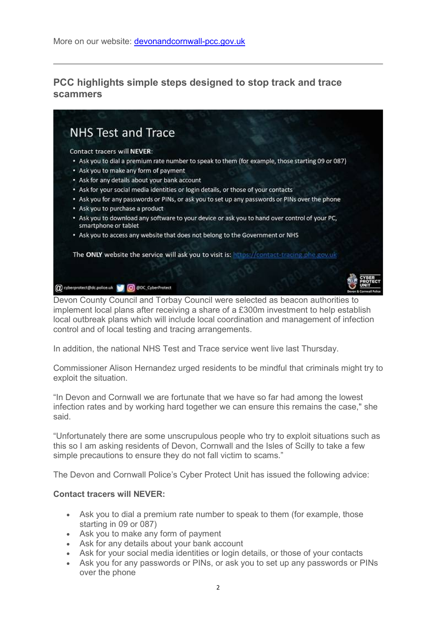#### **PCC highlights simple steps designed to stop track and trace scammers**



Devon County Council and Torbay Council were selected as beacon authorities to implement local plans after receiving a share of a £300m investment to help establish local outbreak plans which will include local coordination and management of infection control and of local testing and tracing arrangements.

In addition, the national NHS Test and Trace service went live last Thursday.

Commissioner Alison Hernandez urged residents to be mindful that criminals might try to exploit the situation.

"In Devon and Cornwall we are fortunate that we have so far had among the lowest infection rates and by working hard together we can ensure this remains the case," she said.

"Unfortunately there are some unscrupulous people who try to exploit situations such as this so I am asking residents of Devon, Cornwall and the Isles of Scilly to take a few simple precautions to ensure they do not fall victim to scams."

The Devon and Cornwall Police's Cyber Protect Unit has issued the following advice:

#### **Contact tracers will NEVER:**

- Ask you to dial a premium rate number to speak to them (for example, those starting in 09 or 087)
- Ask you to make any form of payment
- Ask for any details about your bank account
- Ask for your social media identities or login details, or those of your contacts
- Ask you for any passwords or PINs, or ask you to set up any passwords or PINs over the phone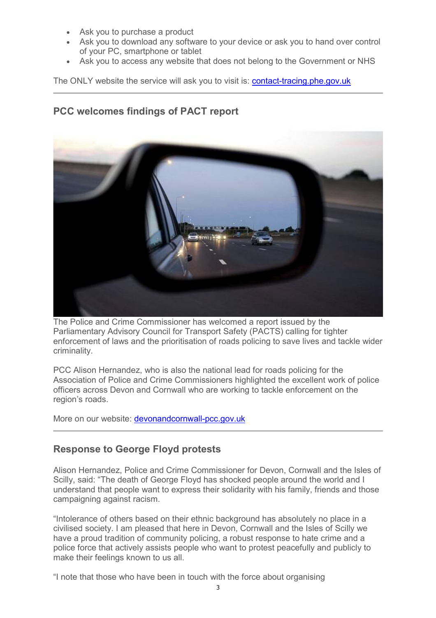- Ask you to purchase a product
- Ask you to download any software to your device or ask you to hand over control of your PC, smartphone or tablet
- Ask you to access any website that does not belong to the Government or NHS

The ONLY website the service will ask you to visit is: **contact-tracing.phe.gov.uk** 

## **PCC welcomes findings of PACT report**



The Police and Crime Commissioner has welcomed a report issued by the Parliamentary Advisory Council for Transport Safety (PACTS) calling for tighter enforcement of laws and the prioritisation of roads policing to save lives and tackle wider criminality.

PCC Alison Hernandez, who is also the national lead for roads policing for the Association of Police and Crime Commissioners highlighted the excellent work of police officers across Devon and Cornwall who are working to tackle enforcement on the region's roads.

More on our website: devonandcornwall-pcc.gov.uk

#### **Response to George Floyd protests**

Alison Hernandez, Police and Crime Commissioner for Devon, Cornwall and the Isles of Scilly, said: "The death of George Floyd has shocked people around the world and I understand that people want to express their solidarity with his family, friends and those campaigning against racism.

"Intolerance of others based on their ethnic background has absolutely no place in a civilised society. I am pleased that here in Devon, Cornwall and the Isles of Scilly we have a proud tradition of community policing, a robust response to hate crime and a police force that actively assists people who want to protest peacefully and publicly to make their feelings known to us all.

"I note that those who have been in touch with the force about organising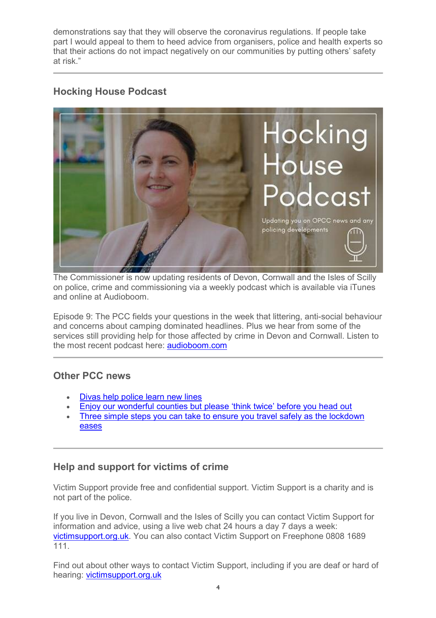demonstrations say that they will observe the coronavirus regulations. If people take part I would appeal to them to heed advice from organisers, police and health experts so that their actions do not impact negatively on our communities by putting others' safety at risk."

## **Hocking House Podcast**



The Commissioner is now updating residents of Devon, Cornwall and the Isles of Scilly on police, crime and commissioning via a weekly podcast which is available via iTunes and online at Audioboom.

Episode 9: The PCC fields your questions in the week that littering, anti-social behaviour and concerns about camping dominated headlines. Plus we hear from some of the services still providing help for those affected by crime in Devon and Cornwall. Listen to the most recent podcast here: audioboom.com

#### **Other PCC news**

- Divas help police learn new lines
- Enjoy our wonderful counties but please 'think twice' before you head out
- Three simple steps you can take to ensure you travel safely as the lockdown eases

# **Help and support for victims of crime**

Victim Support provide free and confidential support. Victim Support is a charity and is not part of the police.

If you live in Devon, Cornwall and the Isles of Scilly you can contact Victim Support for information and advice, using a live web chat 24 hours a day 7 days a week: victimsupport.org.uk. You can also contact Victim Support on Freephone 0808 1689 111.

Find out about other ways to contact Victim Support, including if you are deaf or hard of hearing: victimsupport.org.uk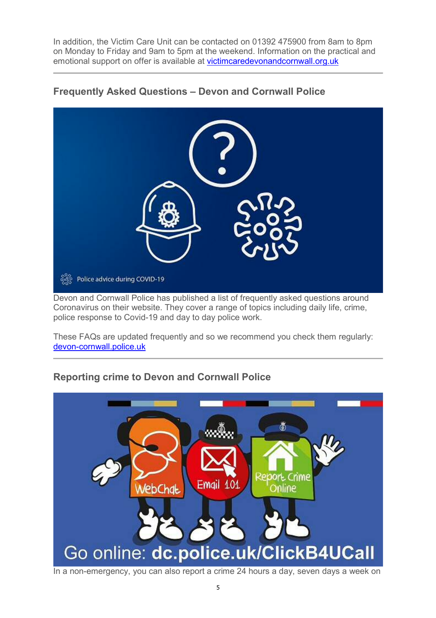In addition, the Victim Care Unit can be contacted on 01392 475900 from 8am to 8pm on Monday to Friday and 9am to 5pm at the weekend. Information on the practical and emotional support on offer is available at victimcaredevonandcornwall.org.uk



### **Frequently Asked Questions – Devon and Cornwall Police**

Devon and Cornwall Police has published a list of frequently asked questions around Coronavirus on their website. They cover a range of topics including daily life, crime, police response to Covid-19 and day to day police work.

These FAQs are updated frequently and so we recommend you check them regularly: devon-cornwall.police.uk

# **Reporting crime to Devon and Cornwall Police**



In a non-emergency, you can also report a crime 24 hours a day, seven days a week on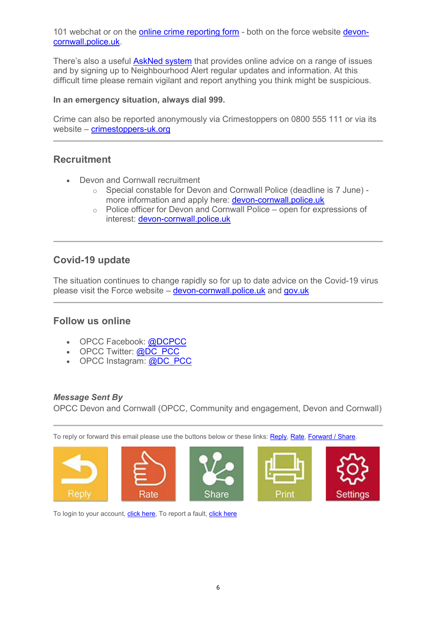101 webchat or on the **online crime reporting form** - both on the force website **devon**cornwall.police.uk.

There's also a useful **AskNed system** that provides online advice on a range of issues and by signing up to Neighbourhood Alert regular updates and information. At this difficult time please remain vigilant and report anything you think might be suspicious.

#### **In an emergency situation, always dial 999.**

Crime can also be reported anonymously via Crimestoppers on 0800 555 111 or via its website – crimestoppers-uk.org

## **Recruitment**

- Devon and Cornwall recruitment
	- o Special constable for Devon and Cornwall Police (deadline is 7 June) more information and apply here: devon-cornwall.police.uk
	- o Police officer for Devon and Cornwall Police open for expressions of interest: devon-cornwall.police.uk

## **Covid-19 update**

The situation continues to change rapidly so for up to date advice on the Covid-19 virus please visit the Force website – devon-cornwall.police.uk and gov.uk

## **Follow us online**

- OPCC Facebook: @DCPCC
- OPCC Twitter: @DC\_PCC
- OPCC Instagram: @DC\_PCC

#### *Message Sent By*

OPCC Devon and Cornwall (OPCC, Community and engagement, Devon and Cornwall)

To reply or forward this email please use the buttons below or these links: Reply, Rate, Forward / Share.



To login to your account, click here, To report a fault, click here